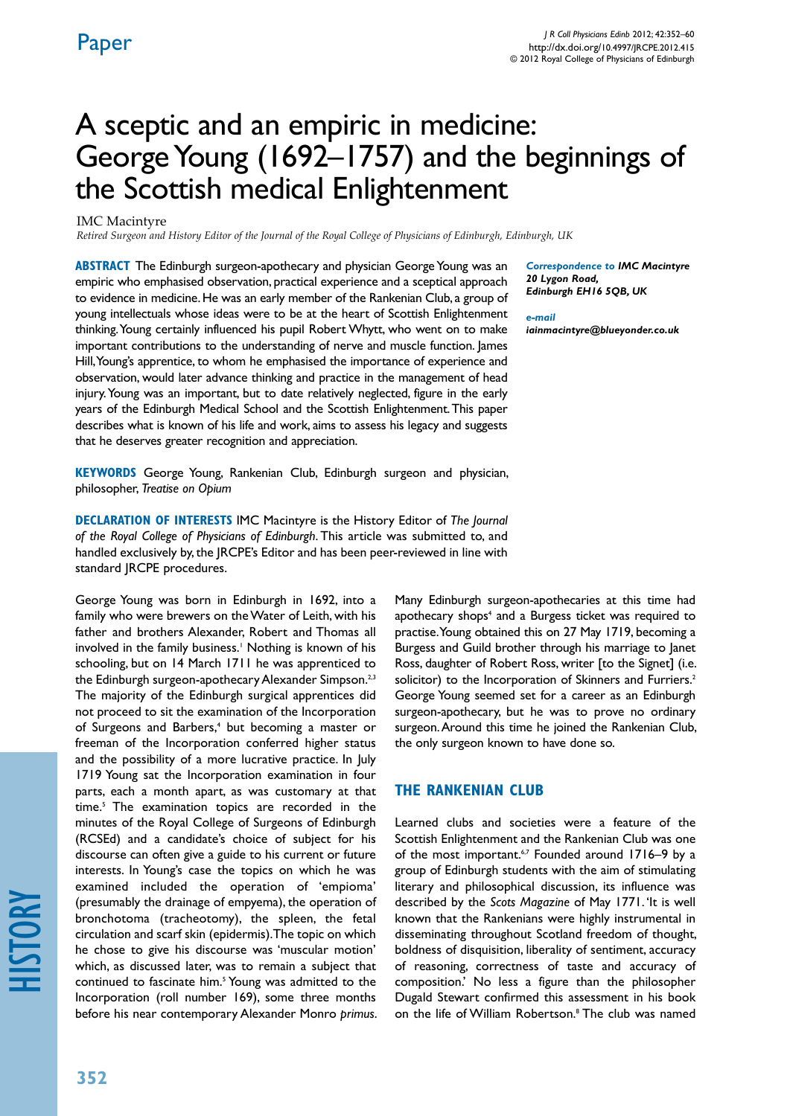# A sceptic and an empiric in medicine: George Young (1692–1757) and the beginnings of the Scottish medical Enlightenment

#### IMC Macintyre

*Retired Surgeon and History Editor of the Journal of the Royal College of Physicians of Edinburgh, Edinburgh, UK* 

**ABSTRACT** The Edinburgh surgeon-apothecary and physician George Young was an empiric who emphasised observation, practical experience and a sceptical approach to evidence in medicine. He was an early member of the Rankenian Club, a group of young intellectuals whose ideas were to be at the heart of Scottish Enlightenment thinking. Young certainly influenced his pupil Robert Whytt, who went on to make important contributions to the understanding of nerve and muscle function. James Hill, Young's apprentice, to whom he emphasised the importance of experience and observation, would later advance thinking and practice in the management of head injury. Young was an important, but to date relatively neglected, figure in the early years of the Edinburgh Medical School and the Scottish Enlightenment. This paper describes what is known of his life and work, aims to assess his legacy and suggests that he deserves greater recognition and appreciation.

**Keywords** George Young, Rankenian Club, Edinburgh surgeon and physician, philosopher, *Treatise on Opium*

**Declaration of Interests** IMC Macintyre is the History Editor of *The Journal of the Royal College of Physicians of Edinburgh*. This article was submitted to, and handled exclusively by, the JRCPE's Editor and has been peer-reviewed in line with standard JRCPE procedures.

George Young was born in Edinburgh in 1692, into a family who were brewers on the Water of Leith, with his father and brothers Alexander, Robert and Thomas all involved in the family business.<sup>1</sup> Nothing is known of his schooling, but on 14 March 1711 he was apprenticed to the Edinburgh surgeon-apothecary Alexander Simpson.<sup>2,3</sup> The majority of the Edinburgh surgical apprentices did not proceed to sit the examination of the Incorporation of Surgeons and Barbers,<sup>4</sup> but becoming a master or freeman of the Incorporation conferred higher status and the possibility of a more lucrative practice. In July 1719 Young sat the Incorporation examination in four parts, each a month apart, as was customary at that time.5 The examination topics are recorded in the minutes of the Royal College of Surgeons of Edinburgh (RCSEd) and a candidate's choice of subject for his discourse can often give a guide to his current or future interests. In Young's case the topics on which he was examined included the operation of 'empioma' (presumably the drainage of empyema), the operation of bronchotoma (tracheotomy), the spleen, the fetal circulation and scarf skin (epidermis). The topic on which he chose to give his discourse was 'muscular motion' which, as discussed later, was to remain a subject that continued to fascinate him.<sup>5</sup> Young was admitted to the Incorporation (roll number 169), some three months before his near contemporary Alexander Monro *primus*.

*Correspondence to IMC Macintyre 20 Lygon Road, Edinburgh EH16 5QB, UK*

*e-mail iainmacintyre@blueyonder.co.uk*

Many Edinburgh surgeon-apothecaries at this time had apothecary shops<sup>4</sup> and a Burgess ticket was required to practise. Young obtained this on 27 May 1719, becoming a Burgess and Guild brother through his marriage to Janet Ross, daughter of Robert Ross, writer [to the Signet] (i.e. solicitor) to the Incorporation of Skinners and Furriers.<sup>2</sup> George Young seemed set for a career as an Edinburgh surgeon-apothecary, but he was to prove no ordinary surgeon. Around this time he joined the Rankenian Club, the only surgeon known to have done so.

## **The Rankenian Club**

Learned clubs and societies were a feature of the Scottish Enlightenment and the Rankenian Club was one of the most important.<sup>6,7</sup> Founded around 1716–9 by a group of Edinburgh students with the aim of stimulating literary and philosophical discussion, its influence was described by the *Scots Magazine* of May 1771. 'It is well known that the Rankenians were highly instrumental in disseminating throughout Scotland freedom of thought, boldness of disquisition, liberality of sentiment, accuracy of reasoning, correctness of taste and accuracy of composition.' No less a figure than the philosopher Dugald Stewart confirmed this assessment in his book on the life of William Robertson.<sup>8</sup> The club was named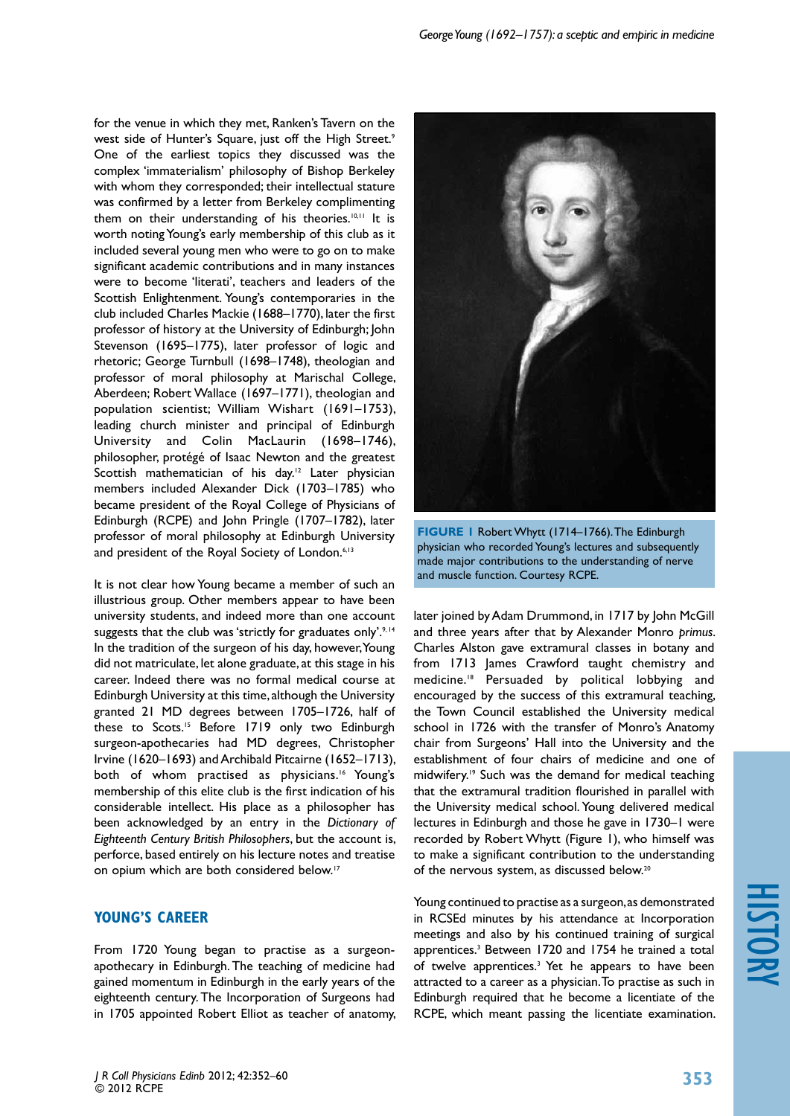*George Young (1692–1757): a sceptic and empiric in medicine*

for the venue in which they met, Ranken's Tavern on the west side of Hunter's Square, just off the High Street.<sup>9</sup> One of the earliest topics they discussed was the complex 'immaterialism' philosophy of Bishop Berkeley with whom they corresponded; their intellectual stature was confirmed by a letter from Berkeley complimenting them on their understanding of his theories.<sup>10,11</sup> It is worth noting Young's early membership of this club as it included several young men who were to go on to make significant academic contributions and in many instances were to become 'literati', teachers and leaders of the Scottish Enlightenment. Young's contemporaries in the club included Charles Mackie (1688–1770), later the first professor of history at the University of Edinburgh; John Stevenson (1695–1775), later professor of logic and rhetoric; George Turnbull (1698–1748), theologian and professor of moral philosophy at Marischal College, Aberdeen; Robert Wallace (1697–1771), theologian and population scientist; William Wishart (1691–1753), leading church minister and principal of Edinburgh University and Colin MacLaurin (1698–1746), philosopher, protégé of Isaac Newton and the greatest Scottish mathematician of his day.<sup>12</sup> Later physician members included Alexander Dick (1703–1785) who became president of the Royal College of Physicians of Edinburgh (RCPE) and John Pringle (1707–1782), later professor of moral philosophy at Edinburgh University and president of the Royal Society of London.<sup>6,13</sup>

It is not clear how Young became a member of such an illustrious group. Other members appear to have been university students, and indeed more than one account suggests that the club was 'strictly for graduates only'.<sup>9,14</sup> In the tradition of the surgeon of his day, however, Young did not matriculate, let alone graduate, at this stage in his career. Indeed there was no formal medical course at Edinburgh University at this time, although the University granted 21 MD degrees between 1705–1726, half of these to Scots.<sup>15</sup> Before 1719 only two Edinburgh surgeon-apothecaries had MD degrees, Christopher Irvine (1620–1693) and Archibald Pitcairne (1652–1713), both of whom practised as physicians.<sup>16</sup> Young's membership of this elite club is the first indication of his considerable intellect. His place as a philosopher has been acknowledged by an entry in the *Dictionary of Eighteenth Century British Philosophers*, but the account is, perforce, based entirely on his lecture notes and treatise on opium which are both considered below.17

# **Young's career**

From 1720 Young began to practise as a surgeonapothecary in Edinburgh. The teaching of medicine had gained momentum in Edinburgh in the early years of the eighteenth century. The Incorporation of Surgeons had in 1705 appointed Robert Elliot as teacher of anatomy,



**figure 1** Robert Whytt (1714–1766). The Edinburgh physician who recorded Young's lectures and subsequently made major contributions to the understanding of nerve and muscle function. Courtesy RCPE.

later joined by Adam Drummond, in 1717 by John McGill and three years after that by Alexander Monro *primus*. Charles Alston gave extramural classes in botany and from 1713 James Crawford taught chemistry and medicine.18 Persuaded by political lobbying and encouraged by the success of this extramural teaching, the Town Council established the University medical school in 1726 with the transfer of Monro's Anatomy chair from Surgeons' Hall into the University and the establishment of four chairs of medicine and one of midwifery.19 Such was the demand for medical teaching that the extramural tradition flourished in parallel with the University medical school. Young delivered medical lectures in Edinburgh and those he gave in 1730–1 were recorded by Robert Whytt (Figure 1), who himself was to make a significant contribution to the understanding of the nervous system, as discussed below.20

Young continued to practise as a surgeon, as demonstrated in RCSEd minutes by his attendance at Incorporation meetings and also by his continued training of surgical apprentices.<sup>3</sup> Between 1720 and 1754 he trained a total of twelve apprentices.<sup>3</sup> Yet he appears to have been attracted to a career as a physician. To practise as such in Edinburgh required that he become a licentiate of the RCPE, which meant passing the licentiate examination.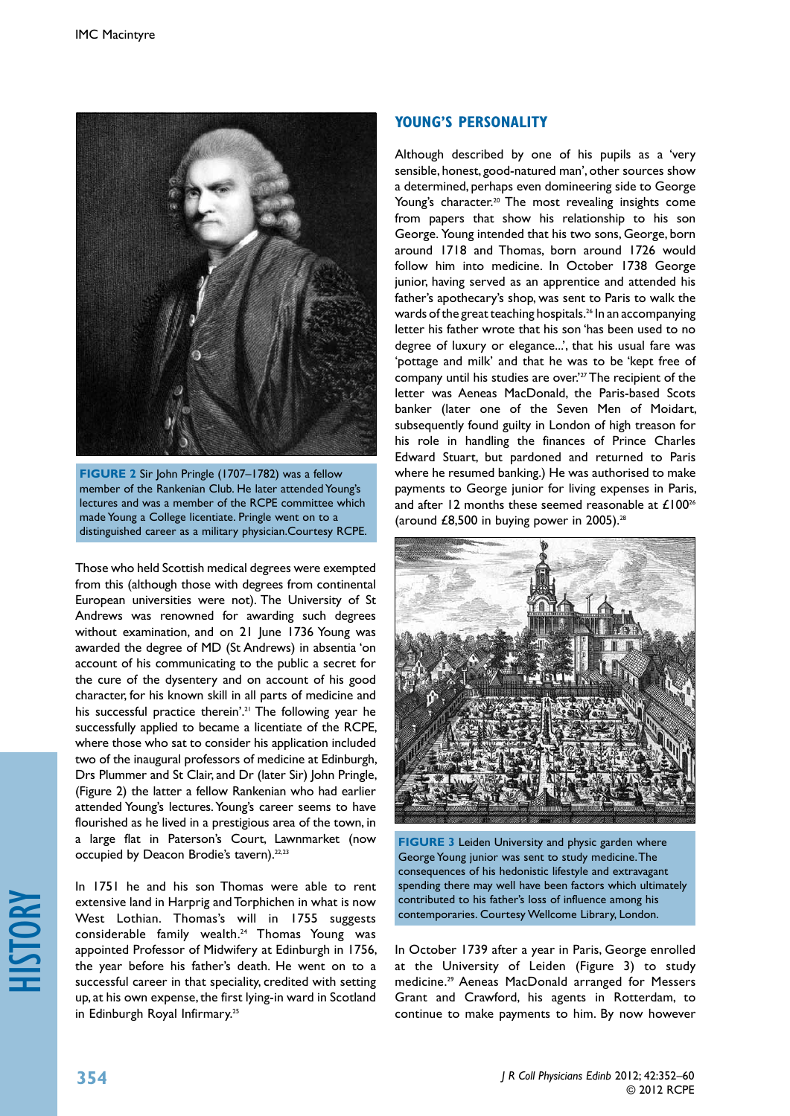

**figure 2** Sir John Pringle (1707–1782) was a fellow member of the Rankenian Club. He later attended Young's lectures and was a member of the RCPE committee which made Young a College licentiate. Pringle went on to a distinguished career as a military physician.Courtesy RCPE.

Those who held Scottish medical degrees were exempted from this (although those with degrees from continental European universities were not). The University of St Andrews was renowned for awarding such degrees without examination, and on 21 June 1736 Young was awarded the degree of MD (St Andrews) in absentia 'on account of his communicating to the public a secret for the cure of the dysentery and on account of his good character, for his known skill in all parts of medicine and his successful practice therein'.<sup>21</sup> The following year he successfully applied to became a licentiate of the RCPE, where those who sat to consider his application included two of the inaugural professors of medicine at Edinburgh, Drs Plummer and St Clair, and Dr (later Sir) John Pringle, (Figure 2) the latter a fellow Rankenian who had earlier attended Young's lectures. Young's career seems to have flourished as he lived in a prestigious area of the town, in a large flat in Paterson's Court, Lawnmarket (now occupied by Deacon Brodie's tavern).<sup>22,23</sup>

In 1751 he and his son Thomas were able to rent extensive land in Harprig and Torphichen in what is now West Lothian. Thomas's will in 1755 suggests considerable family wealth.24 Thomas Young was appointed Professor of Midwifery at Edinburgh in 1756, the year before his father's death. He went on to a successful career in that speciality, credited with setting up, at his own expense, the first lying-in ward in Scotland in Edinburgh Royal Infirmary.25

## **Young's personality**

Although described by one of his pupils as a 'very sensible, honest, good-natured man', other sources show a determined, perhaps even domineering side to George Young's character.<sup>20</sup> The most revealing insights come from papers that show his relationship to his son George. Young intended that his two sons, George, born around 1718 and Thomas, born around 1726 would follow him into medicine. In October 1738 George junior, having served as an apprentice and attended his father's apothecary's shop, was sent to Paris to walk the wards of the great teaching hospitals.<sup>26</sup> In an accompanying letter his father wrote that his son 'has been used to no degree of luxury or elegance...', that his usual fare was 'pottage and milk' and that he was to be 'kept free of company until his studies are over.'<sup>27</sup> The recipient of the letter was Aeneas MacDonald, the Paris-based Scots banker (later one of the Seven Men of Moidart, subsequently found guilty in London of high treason for his role in handling the finances of Prince Charles Edward Stuart, but pardoned and returned to Paris where he resumed banking.) He was authorised to make payments to George junior for living expenses in Paris, and after 12 months these seemed reasonable at  $£100^{26}$ (around  $£8,500$  in buying power in 2005).<sup>28</sup>



**FIGURE 3** Leiden University and physic garden where George Young junior was sent to study medicine. The consequences of his hedonistic lifestyle and extravagant spending there may well have been factors which ultimately contributed to his father's loss of influence among his contemporaries. Courtesy Wellcome Library, London.

In October 1739 after a year in Paris, George enrolled at the University of Leiden (Figure 3) to study medicine.29 Aeneas MacDonald arranged for Messers Grant and Crawford, his agents in Rotterdam, to continue to make payments to him. By now however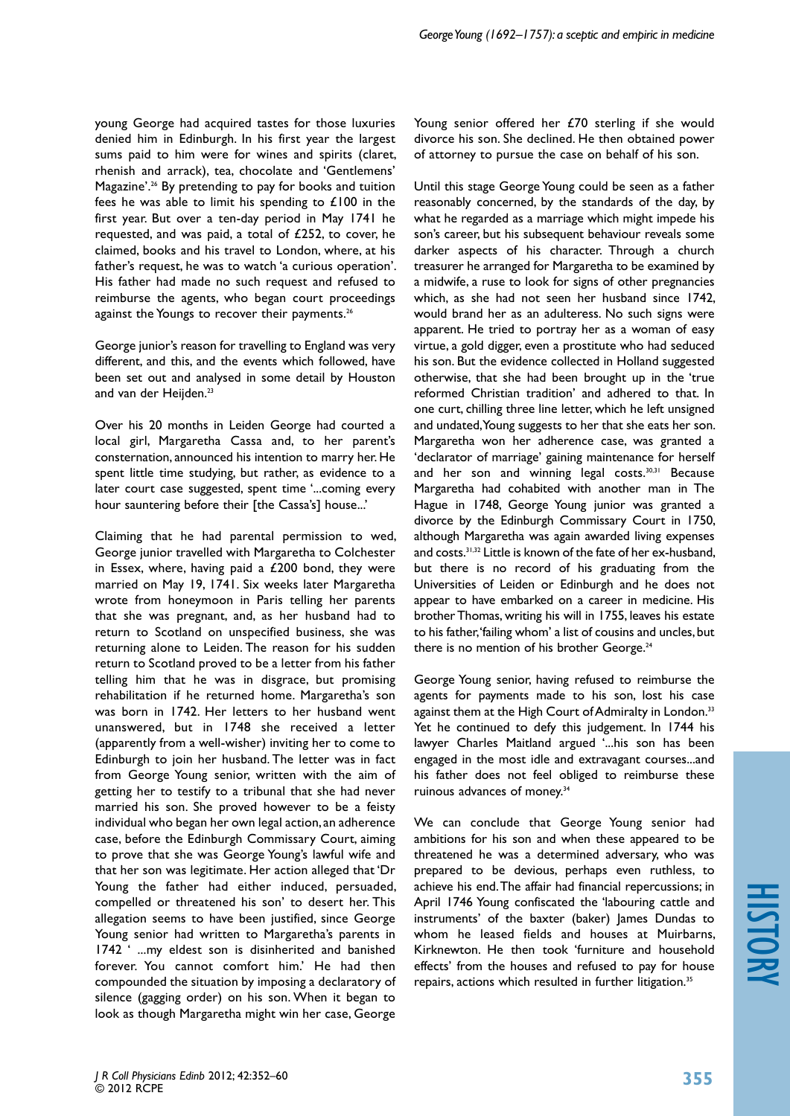young George had acquired tastes for those luxuries denied him in Edinburgh. In his first year the largest sums paid to him were for wines and spirits (claret, rhenish and arrack), tea, chocolate and 'Gentlemens' Magazine'.<sup>26</sup> By pretending to pay for books and tuition fees he was able to limit his spending to £100 in the first year. But over a ten-day period in May 1741 he requested, and was paid, a total of £252, to cover, he claimed, books and his travel to London, where, at his father's request, he was to watch 'a curious operation'. His father had made no such request and refused to reimburse the agents, who began court proceedings against the Youngs to recover their payments.<sup>26</sup>

George junior's reason for travelling to England was very different, and this, and the events which followed, have been set out and analysed in some detail by Houston and van der Heijden.<sup>23</sup>

Over his 20 months in Leiden George had courted a local girl, Margaretha Cassa and, to her parent's consternation, announced his intention to marry her. He spent little time studying, but rather, as evidence to a later court case suggested, spent time '...coming every hour sauntering before their [the Cassa's] house...'

Claiming that he had parental permission to wed, George junior travelled with Margaretha to Colchester in Essex, where, having paid a  $£200$  bond, they were married on May 19, 1741. Six weeks later Margaretha wrote from honeymoon in Paris telling her parents that she was pregnant, and, as her husband had to return to Scotland on unspecified business, she was returning alone to Leiden. The reason for his sudden return to Scotland proved to be a letter from his father telling him that he was in disgrace, but promising rehabilitation if he returned home. Margaretha's son was born in 1742. Her letters to her husband went unanswered, but in 1748 she received a letter (apparently from a well-wisher) inviting her to come to Edinburgh to join her husband. The letter was in fact from George Young senior, written with the aim of getting her to testify to a tribunal that she had never married his son. She proved however to be a feisty individual who began her own legal action, an adherence case, before the Edinburgh Commissary Court, aiming to prove that she was George Young's lawful wife and that her son was legitimate. Her action alleged that 'Dr Young the father had either induced, persuaded, compelled or threatened his son' to desert her. This allegation seems to have been justified, since George Young senior had written to Margaretha's parents in 1742 ' ...my eldest son is disinherited and banished forever. You cannot comfort him.' He had then compounded the situation by imposing a declaratory of silence (gagging order) on his son. When it began to look as though Margaretha might win her case, George

Young senior offered her £70 sterling if she would divorce his son. She declined. He then obtained power of attorney to pursue the case on behalf of his son.

Until this stage George Young could be seen as a father reasonably concerned, by the standards of the day, by what he regarded as a marriage which might impede his son's career, but his subsequent behaviour reveals some darker aspects of his character. Through a church treasurer he arranged for Margaretha to be examined by a midwife, a ruse to look for signs of other pregnancies which, as she had not seen her husband since 1742, would brand her as an adulteress. No such signs were apparent. He tried to portray her as a woman of easy virtue, a gold digger, even a prostitute who had seduced his son. But the evidence collected in Holland suggested otherwise, that she had been brought up in the 'true reformed Christian tradition' and adhered to that. In one curt, chilling three line letter, which he left unsigned and undated, Young suggests to her that she eats her son. Margaretha won her adherence case, was granted a 'declarator of marriage' gaining maintenance for herself and her son and winning legal costs.<sup>30,31</sup> Because Margaretha had cohabited with another man in The Hague in 1748, George Young junior was granted a divorce by the Edinburgh Commissary Court in 1750, although Margaretha was again awarded living expenses and costs.31,32 Little is known of the fate of her ex-husband, but there is no record of his graduating from the Universities of Leiden or Edinburgh and he does not appear to have embarked on a career in medicine. His brother Thomas, writing his will in 1755, leaves his estate to his father, 'failing whom' a list of cousins and uncles, but there is no mention of his brother George.<sup>24</sup>

George Young senior, having refused to reimburse the agents for payments made to his son, lost his case against them at the High Court of Admiralty in London.<sup>33</sup> Yet he continued to defy this judgement. In 1744 his lawyer Charles Maitland argued '...his son has been engaged in the most idle and extravagant courses...and his father does not feel obliged to reimburse these ruinous advances of money.<sup>34</sup>

We can conclude that George Young senior had ambitions for his son and when these appeared to be threatened he was a determined adversary, who was prepared to be devious, perhaps even ruthless, to achieve his end. The affair had financial repercussions; in April 1746 Young confiscated the 'labouring cattle and instruments' of the baxter (baker) James Dundas to whom he leased fields and houses at Muirbarns, Kirknewton. He then took 'furniture and household effects' from the houses and refused to pay for house repairs, actions which resulted in further litigation.<sup>35</sup>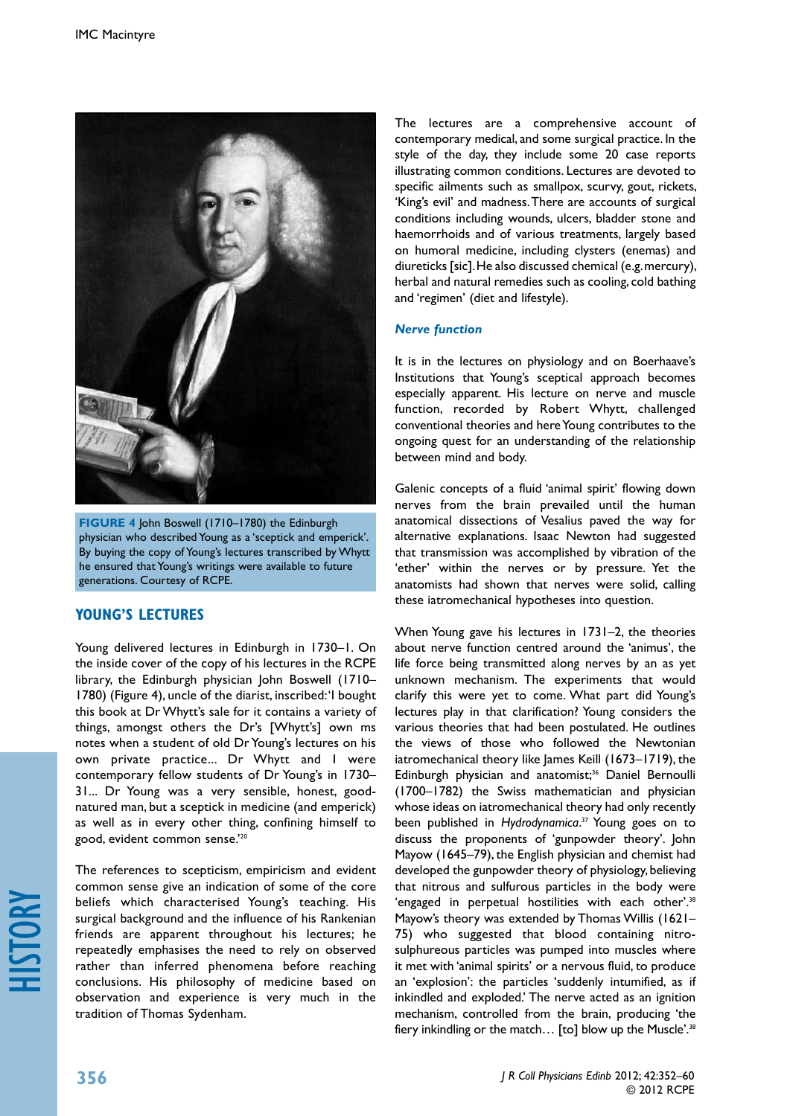

**figure 4** John Boswell (1710–1780) the Edinburgh physician who described Young as a 'sceptick and emperick'. By buying the copy of Young's lectures transcribed by Whytt he ensured that Young's writings were available to future generations. Courtesy of RCPE.

## **Young's lectures**

Young delivered lectures in Edinburgh in 1730–1. On the inside cover of the copy of his lectures in the RCPE library, the Edinburgh physician John Boswell (1710– 1780) (Figure 4), uncle of the diarist, inscribed: 'I bought this book at Dr Whytt's sale for it contains a variety of things, amongst others the Dr's [Whytt's] own ms notes when a student of old Dr Young's lectures on his own private practice... Dr Whytt and I were contemporary fellow students of Dr Young's in 1730– 31... Dr Young was a very sensible, honest, goodnatured man, but a sceptick in medicine (and emperick) as well as in every other thing, confining himself to good, evident common sense.'20

The references to scepticism, empiricism and evident common sense give an indication of some of the core beliefs which characterised Young's teaching. His surgical background and the influence of his Rankenian friends are apparent throughout his lectures; he repeatedly emphasises the need to rely on observed rather than inferred phenomena before reaching conclusions. His philosophy of medicine based on observation and experience is very much in the tradition of Thomas Sydenham.

The lectures are a comprehensive account of contemporary medical, and some surgical practice. In the style of the day, they include some 20 case reports illustrating common conditions. Lectures are devoted to specific ailments such as smallpox, scurvy, gout, rickets, 'King's evil' and madness. There are accounts of surgical conditions including wounds, ulcers, bladder stone and haemorrhoids and of various treatments, largely based on humoral medicine, including clysters (enemas) and diureticks [sic]. He also discussed chemical (e.g. mercury), herbal and natural remedies such as cooling, cold bathing and 'regimen' (diet and lifestyle).

#### *Nerve function*

It is in the lectures on physiology and on Boerhaave's Institutions that Young's sceptical approach becomes especially apparent. His lecture on nerve and muscle function, recorded by Robert Whytt, challenged conventional theories and here Young contributes to the ongoing quest for an understanding of the relationship between mind and body.

Galenic concepts of a fluid 'animal spirit' flowing down nerves from the brain prevailed until the human anatomical dissections of Vesalius paved the way for alternative explanations. Isaac Newton had suggested that transmission was accomplished by vibration of the 'ether' within the nerves or by pressure. Yet the anatomists had shown that nerves were solid, calling these iatromechanical hypotheses into question.

When Young gave his lectures in 1731–2, the theories about nerve function centred around the 'animus', the life force being transmitted along nerves by an as yet unknown mechanism. The experiments that would clarify this were yet to come. What part did Young's lectures play in that clarification? Young considers the various theories that had been postulated. He outlines the views of those who followed the Newtonian iatromechanical theory like James Keill (1673-1719), the Edinburgh physician and anatomist;<sup>36</sup> Daniel Bernoulli (1700–1782) the Swiss mathematician and physician whose ideas on iatromechanical theory had only recently been published in *Hydrodynamica*. 37 Young goes on to discuss the proponents of 'gunpowder theory'. John Mayow (1645–79), the English physician and chemist had developed the gunpowder theory of physiology, believing that nitrous and sulfurous particles in the body were 'engaged in perpetual hostilities with each other'.<sup>38</sup> Mayow's theory was extended by Thomas Willis (1621– 75) who suggested that blood containing nitrosulphureous particles was pumped into muscles where it met with 'animal spirits' or a nervous fluid, to produce an 'explosion': the particles 'suddenly intumified, as if inkindled and exploded.' The nerve acted as an ignition mechanism, controlled from the brain, producing 'the fiery inkindling or the match... [to] blow up the Muscle'.<sup>38</sup>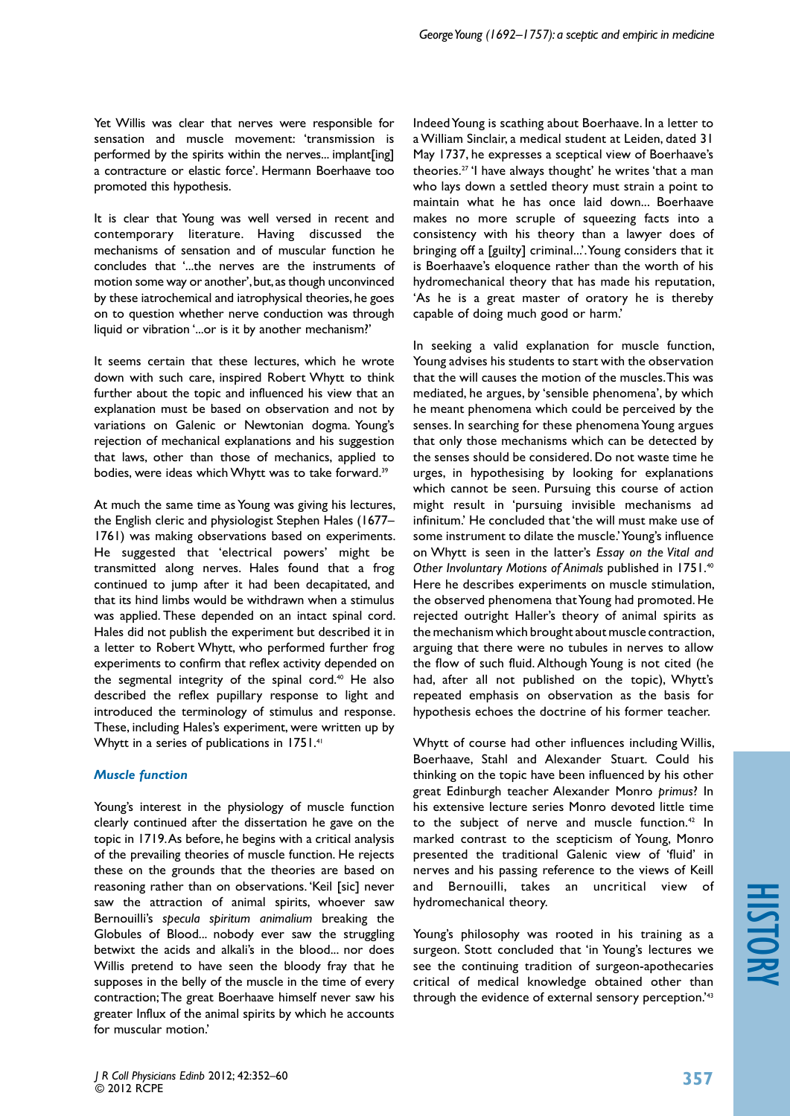Yet Willis was clear that nerves were responsible for sensation and muscle movement: 'transmission is performed by the spirits within the nerves... implant[ing] a contracture or elastic force'. Hermann Boerhaave too promoted this hypothesis.

It is clear that Young was well versed in recent and contemporary literature. Having discussed the mechanisms of sensation and of muscular function he concludes that '...the nerves are the instruments of motion some way or another', but, as though unconvinced by these iatrochemical and iatrophysical theories, he goes on to question whether nerve conduction was through liquid or vibration '...or is it by another mechanism?'

It seems certain that these lectures, which he wrote down with such care, inspired Robert Whytt to think further about the topic and influenced his view that an explanation must be based on observation and not by variations on Galenic or Newtonian dogma. Young's rejection of mechanical explanations and his suggestion that laws, other than those of mechanics, applied to bodies, were ideas which Whytt was to take forward.<sup>39</sup>

At much the same time as Young was giving his lectures, the English cleric and physiologist Stephen Hales (1677– 1761) was making observations based on experiments. He suggested that 'electrical powers' might be transmitted along nerves. Hales found that a frog continued to jump after it had been decapitated, and that its hind limbs would be withdrawn when a stimulus was applied. These depended on an intact spinal cord. Hales did not publish the experiment but described it in a letter to Robert Whytt, who performed further frog experiments to confirm that reflex activity depended on the segmental integrity of the spinal cord.<sup>40</sup> He also described the reflex pupillary response to light and introduced the terminology of stimulus and response. These, including Hales's experiment, were written up by Whytt in a series of publications in 1751.<sup>41</sup>

#### *Muscle function*

Young's interest in the physiology of muscle function clearly continued after the dissertation he gave on the topic in 1719. As before, he begins with a critical analysis of the prevailing theories of muscle function. He rejects these on the grounds that the theories are based on reasoning rather than on observations. 'Keil [sic] never saw the attraction of animal spirits, whoever saw Bernouilli's *specula spiritum animalium* breaking the Globules of Blood... nobody ever saw the struggling betwixt the acids and alkali's in the blood... nor does Willis pretend to have seen the bloody fray that he supposes in the belly of the muscle in the time of every contraction; The great Boerhaave himself never saw his greater Influx of the animal spirits by which he accounts for muscular motion.'

Indeed Young is scathing about Boerhaave. In a letter to a William Sinclair, a medical student at Leiden, dated 31 May 1737, he expresses a sceptical view of Boerhaave's theories.27 'I have always thought' he writes 'that a man who lays down a settled theory must strain a point to maintain what he has once laid down... Boerhaave makes no more scruple of squeezing facts into a consistency with his theory than a lawyer does of bringing off a [guilty] criminal...'. Young considers that it is Boerhaave's eloquence rather than the worth of his hydromechanical theory that has made his reputation, 'As he is a great master of oratory he is thereby capable of doing much good or harm.'

In seeking a valid explanation for muscle function, Young advises his students to start with the observation that the will causes the motion of the muscles. This was mediated, he argues, by 'sensible phenomena', by which he meant phenomena which could be perceived by the senses. In searching for these phenomena Young argues that only those mechanisms which can be detected by the senses should be considered. Do not waste time he urges, in hypothesising by looking for explanations which cannot be seen. Pursuing this course of action might result in 'pursuing invisible mechanisms ad infinitum.' He concluded that 'the will must make use of some instrument to dilate the muscle.' Young's influence on Whytt is seen in the latter's *Essay on the Vital and Other Involuntary Motions of Animals* published in 1751.40 Here he describes experiments on muscle stimulation, the observed phenomena that Young had promoted. He rejected outright Haller's theory of animal spirits as the mechanism which brought about muscle contraction, arguing that there were no tubules in nerves to allow the flow of such fluid. Although Young is not cited (he had, after all not published on the topic), Whytt's repeated emphasis on observation as the basis for hypothesis echoes the doctrine of his former teacher.

Whytt of course had other influences including Willis, Boerhaave, Stahl and Alexander Stuart. Could his thinking on the topic have been influenced by his other great Edinburgh teacher Alexander Monro *primus*? In his extensive lecture series Monro devoted little time to the subject of nerve and muscle function.<sup>42</sup> In marked contrast to the scepticism of Young, Monro presented the traditional Galenic view of 'fluid' in nerves and his passing reference to the views of Keill and Bernouilli, takes an uncritical view of hydromechanical theory.

Young's philosophy was rooted in his training as a surgeon. Stott concluded that 'in Young's lectures we see the continuing tradition of surgeon-apothecaries critical of medical knowledge obtained other than through the evidence of external sensory perception.'43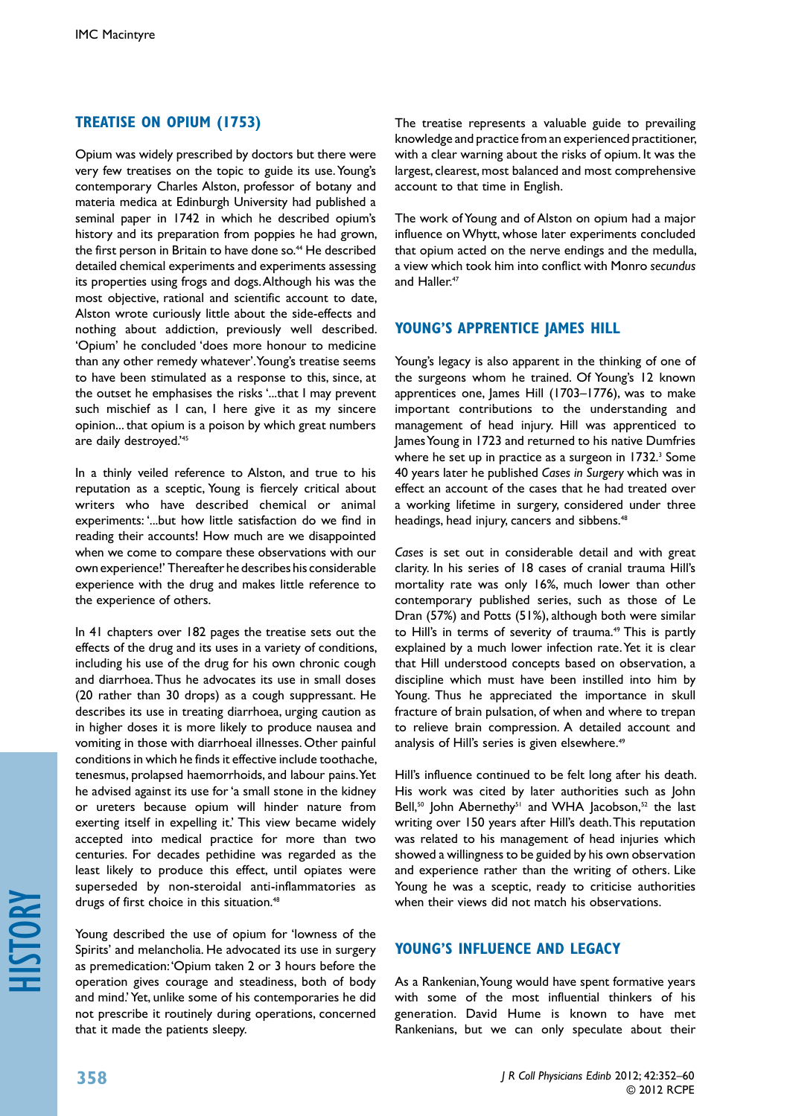# **Treatise on Opium (1753)**

Opium was widely prescribed by doctors but there were very few treatises on the topic to guide its use. Young's contemporary Charles Alston, professor of botany and materia medica at Edinburgh University had published a seminal paper in 1742 in which he described opium's history and its preparation from poppies he had grown, the first person in Britain to have done so.<sup>44</sup> He described detailed chemical experiments and experiments assessing its properties using frogs and dogs. Although his was the most objective, rational and scientific account to date, Alston wrote curiously little about the side-effects and nothing about addiction, previously well described. 'Opium' he concluded 'does more honour to medicine than any other remedy whatever'. Young's treatise seems to have been stimulated as a response to this, since, at the outset he emphasises the risks '...that I may prevent such mischief as I can, I here give it as my sincere opinion... that opium is a poison by which great numbers are daily destroyed.'45

In a thinly veiled reference to Alston, and true to his reputation as a sceptic, Young is fiercely critical about writers who have described chemical or animal experiments: '...but how little satisfaction do we find in reading their accounts! How much are we disappointed when we come to compare these observations with our own experience!' Thereafter he describes his considerable experience with the drug and makes little reference to the experience of others.

In 41 chapters over 182 pages the treatise sets out the effects of the drug and its uses in a variety of conditions, including his use of the drug for his own chronic cough and diarrhoea. Thus he advocates its use in small doses (20 rather than 30 drops) as a cough suppressant. He describes its use in treating diarrhoea, urging caution as in higher doses it is more likely to produce nausea and vomiting in those with diarrhoeal illnesses. Other painful conditions in which he finds it effective include toothache, tenesmus, prolapsed haemorrhoids, and labour pains. Yet he advised against its use for 'a small stone in the kidney or ureters because opium will hinder nature from exerting itself in expelling it.' This view became widely accepted into medical practice for more than two centuries. For decades pethidine was regarded as the least likely to produce this effect, until opiates were superseded by non-steroidal anti-inflammatories as drugs of first choice in this situation.<sup>48</sup>

Young described the use of opium for 'lowness of the Spirits' and melancholia. He advocated its use in surgery as premedication: 'Opium taken 2 or 3 hours before the operation gives courage and steadiness, both of body and mind.' Yet, unlike some of his contemporaries he did not prescribe it routinely during operations, concerned that it made the patients sleepy.

The treatise represents a valuable guide to prevailing knowledge and practice from an experienced practitioner, with a clear warning about the risks of opium. It was the largest, clearest, most balanced and most comprehensive account to that time in English.

The work of Young and of Alston on opium had a major influence on Whytt, whose later experiments concluded that opium acted on the nerve endings and the medulla, a view which took him into conflict with Monro *secundus* and Haller.<sup>47</sup>

## **Young's apprentice James Hill**

Young's legacy is also apparent in the thinking of one of the surgeons whom he trained. Of Young's 12 known apprentices one, James Hill (1703–1776), was to make important contributions to the understanding and management of head injury. Hill was apprenticed to James Young in 1723 and returned to his native Dumfries where he set up in practice as a surgeon in 1732.<sup>3</sup> Some 40 years later he published *Cases in Surgery* which was in effect an account of the cases that he had treated over a working lifetime in surgery, considered under three headings, head injury, cancers and sibbens.<sup>48</sup>

*Cases* is set out in considerable detail and with great clarity. In his series of 18 cases of cranial trauma Hill's mortality rate was only 16%, much lower than other contemporary published series, such as those of Le Dran (57%) and Potts (51%), although both were similar to Hill's in terms of severity of trauma.<sup>49</sup> This is partly explained by a much lower infection rate. Yet it is clear that Hill understood concepts based on observation, a discipline which must have been instilled into him by Young. Thus he appreciated the importance in skull fracture of brain pulsation, of when and where to trepan to relieve brain compression. A detailed account and analysis of Hill's series is given elsewhere.<sup>49</sup>

Hill's influence continued to be felt long after his death. His work was cited by later authorities such as John Bell,<sup>50</sup> John Abernethy<sup>51</sup> and WHA Jacobson,<sup>52</sup> the last writing over 150 years after Hill's death. This reputation was related to his management of head injuries which showed a willingness to be guided by his own observation and experience rather than the writing of others. Like Young he was a sceptic, ready to criticise authorities when their views did not match his observations.

## **Young's influence and legacy**

As a Rankenian, Young would have spent formative years with some of the most influential thinkers of his generation. David Hume is known to have met Rankenians, but we can only speculate about their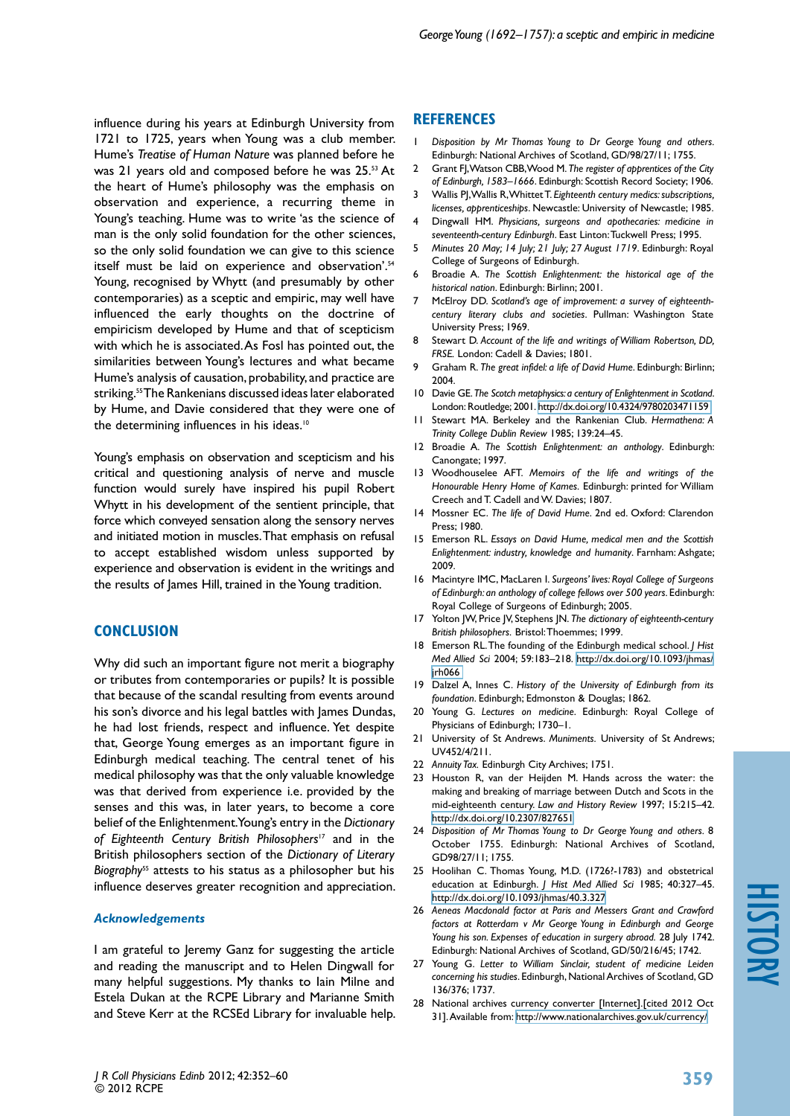influence during his years at Edinburgh University from 1721 to 1725, years when Young was a club member. Hume's *Treatise of Human Nature* was planned before he was 21 years old and composed before he was 25.53 At the heart of Hume's philosophy was the emphasis on observation and experience, a recurring theme in Young's teaching. Hume was to write 'as the science of man is the only solid foundation for the other sciences, so the only solid foundation we can give to this science itself must be laid on experience and observation'.54 Young, recognised by Whytt (and presumably by other contemporaries) as a sceptic and empiric, may well have influenced the early thoughts on the doctrine of empiricism developed by Hume and that of scepticism with which he is associated. As Fosl has pointed out, the similarities between Young's lectures and what became Hume's analysis of causation, probability, and practice are striking.55The Rankenians discussed ideas later elaborated by Hume, and Davie considered that they were one of the determining influences in his ideas.<sup>10</sup>

Young's emphasis on observation and scepticism and his critical and questioning analysis of nerve and muscle function would surely have inspired his pupil Robert Whytt in his development of the sentient principle, that force which conveyed sensation along the sensory nerves and initiated motion in muscles. That emphasis on refusal to accept established wisdom unless supported by experience and observation is evident in the writings and the results of James Hill, trained in the Young tradition.

## **conclusion**

Why did such an important figure not merit a biography or tributes from contemporaries or pupils? It is possible that because of the scandal resulting from events around his son's divorce and his legal battles with James Dundas, he had lost friends, respect and influence. Yet despite that, George Young emerges as an important figure in Edinburgh medical teaching. The central tenet of his medical philosophy was that the only valuable knowledge was that derived from experience i.e. provided by the senses and this was, in later years, to become a core belief of the Enlightenment. Young's entry in the *Dictionary of Eighteenth Century British Philosophers*17 and in the British philosophers section of the *Dictionary of Literary Biography*55 attests to his status as a philosopher but his influence deserves greater recognition and appreciation.

#### *Acknowledgements*

I am grateful to Jeremy Ganz for suggesting the article and reading the manuscript and to Helen Dingwall for many helpful suggestions. My thanks to Iain Milne and Estela Dukan at the RCPE Library and Marianne Smith and Steve Kerr at the RCSEd Library for invaluable help.

## **References**

- 1 *Disposition by Mr Thomas Young to Dr George Young and others.*  Edinburgh: National Archives of Scotland, GD/98/27/11; 1755.
- 2 Grant FJ, Watson CBB, Wood M. *The register of apprentices of the City of Edinburgh, 1583–1666*. Edinburgh: Scottish Record Society; 1906.
- 3 Wallis PJ, Wallis R, Whittet T. *Eighteenth century medics: subscriptions, licenses, apprenticeships*. Newcastle: University of Newcastle; 1985.
- 4 Dingwall HM. *Physicians, surgeons and apothecaries: medicine in seventeenth-century Edinburgh*. East Linton: Tuckwell Press; 1995.
- 5 *Minutes 20 May; 14 July; 21 July; 27 August 1719*. Edinburgh: Royal College of Surgeons of Edinburgh.
- 6 Broadie A. *The Scottish Enlightenment: the historical age of the historical nation*. Edinburgh: Birlinn; 2001.
- 7 McElroy DD. *Scotland's age of improvement: a survey of eighteenthcentury literary clubs and societies*. Pullman: Washington State University Press; 1969.
- 8 Stewart D. *Account of the life and writings of William Robertson, DD, FRSE.* London: Cadell & Davies; 1801.
- 9 Graham R. *The great infidel: a life of David Hume*. Edinburgh: Birlinn; 2004.
- 10 Davie GE. *The Scotch metaphysics: a century of Enlightenment in Scotland*. London: Routledge; 2001. [http://dx.doi.org/10.4324/9780203471159](http://dx.doi.org/10.4324/9780203471159
)
- 11 Stewart MA. Berkeley and the Rankenian Club. *Hermathena: A Trinity College Dublin Review* 1985; 139:24–45.
- 12 Broadie A. *The Scottish Enlightenment: an anthology*. Edinburgh: Canongate; 1997.
- 13 Woodhouselee AFT. *Memoirs of the life and writings of the Honourable Henry Home of Kames.* Edinburgh: printed for William Creech and T. Cadell and W. Davies; 1807.
- 14 Mossner EC. *The life of David Hume*. 2nd ed. Oxford: Clarendon Press; 1980.
- 15 Emerson RL. *Essays on David Hume, medical men and the Scottish Enlightenment: industry, knowledge and humanity*. Farnham: Ashgate; 2009.
- 16 Macintyre IMC, MacLaren I. *Surgeons' lives: Royal College of Surgeons of Edinburgh: an anthology of college fellows over 500 years.* Edinburgh: Royal College of Surgeons of Edinburgh; 2005.
- 17 Yolton JW, Price JV, Stephens JN. *The dictionary of eighteenth-century British philosophers.* Bristol: Thoemmes; 1999.
- 18 Emerson RL. The founding of the Edinburgh medical school. *J Hist Med Allied Sci* 2004; 59:183–218. [http://dx.doi.org/10.1093/jhmas/](http://dx.doi.org/10.1093/jhmas/jrh066
) [jrh066](http://dx.doi.org/10.1093/jhmas/jrh066
)
- 19 Dalzel A, Innes C. *History of the University of Edinburgh from its foundation*. Edinburgh; Edmonston & Douglas; 1862.
- 20 Young G. *Lectures on medicine*. Edinburgh: Royal College of Physicians of Edinburgh; 1730–1.
- 21 University of St Andrews. *Muniments.* University of St Andrews; UV452/4/211.
- 22 *Annuity Tax.* Edinburgh City Archives; 1751.
- 23 Houston R, van der Heijden M. Hands across the water: the making and breaking of marriage between Dutch and Scots in the mid-eighteenth century. *Law and History Review* 1997; 15:215–42. <http://dx.doi.org/10.2307/827651>
- 24 *Disposition of Mr Thomas Young to Dr George Young and others.* 8 October 1755. Edinburgh: National Archives of Scotland, GD98/27/11; 1755.
- 25 Hoolihan C. Thomas Young, M.D. (1726?-1783) and obstetrical education at Edinburgh. *J Hist Med Allied Sci* 1985; 40:327–45. <http://dx.doi.org/10.1093/jhmas/40.3.327>
- 26 *Aeneas Macdonald factor at Paris and Messers Grant and Crawford factors at Rotterdam v Mr George Young in Edinburgh and George Young his son. Expenses of education in surgery abroad.* 28 July 1742. Edinburgh: National Archives of Scotland, GD/50/216/45; 1742.
- 27 Young G. *Letter to William Sinclair, student of medicine Leiden concerning his studies*. Edinburgh, National Archives of Scotland, GD 136/376; 1737.
- 28 National archives currency converter [Internet].[cited 2012 Oct 31]. Available from: <http://www.nationalarchives.gov.uk/currency/>